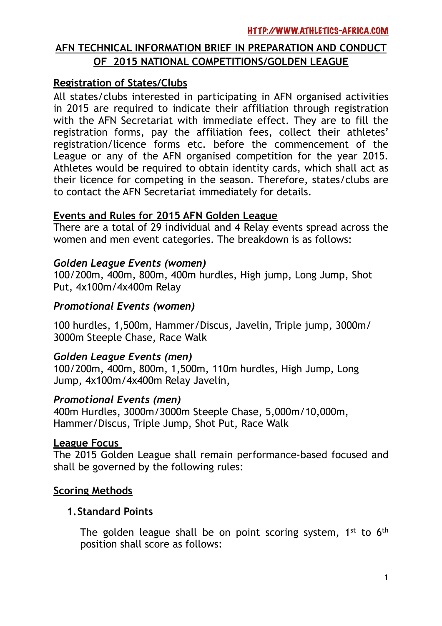# **AFN TECHNICAL INFORMATION BRIEF IN PREPARATION AND CONDUCT OF 2015 NATIONAL COMPETITIONS/GOLDEN LEAGUE**

## **Registration of States/Clubs**

All states/clubs interested in participating in AFN organised activities in 2015 are required to indicate their affiliation through registration with the AFN Secretariat with immediate effect. They are to fill the registration forms, pay the affiliation fees, collect their athletes' registration/licence forms etc. before the commencement of the League or any of the AFN organised competition for the year 2015. Athletes would be required to obtain identity cards, which shall act as their licence for competing in the season. Therefore, states/clubs are to contact the AFN Secretariat immediately for details.

#### **Events and Rules for 2015 AFN Golden League**

There are a total of 29 individual and 4 Relay events spread across the women and men event categories. The breakdown is as follows:

## *Golden League Events (women)*

100/200m, 400m, 800m, 400m hurdles, High jump, Long Jump, Shot Put, 4x100m/4x400m Relay

## *Promotional Events (women)*

100 hurdles, 1,500m, Hammer/Discus, Javelin, Triple jump, 3000m/ 3000m Steeple Chase, Race Walk

## *Golden League Events (men)*

100/200m, 400m, 800m, 1,500m, 110m hurdles, High Jump, Long Jump, 4x100m/4x400m Relay Javelin,

#### *Promotional Events (men)*

400m Hurdles, 3000m/3000m Steeple Chase, 5,000m/10,000m, Hammer/Discus, Triple Jump, Shot Put, Race Walk

#### **League Focus**

The 2015 Golden League shall remain performance-based focused and shall be governed by the following rules:

#### **Scoring Methods**

#### **1.Standard Points**

The golden league shall be on point scoring system,  $1^{st}$  to  $6^{th}$ position shall score as follows: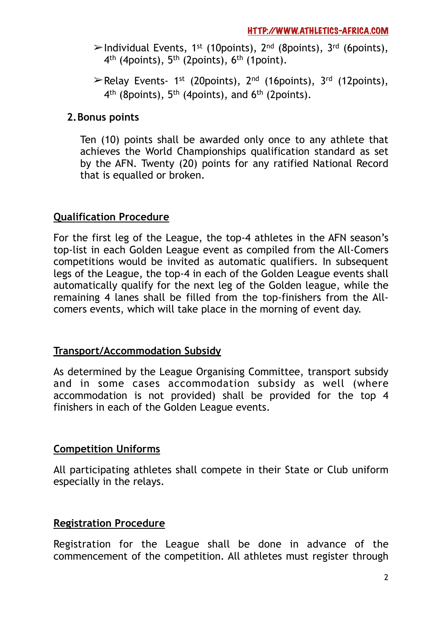- $\geq$ Individual Events, 1<sup>st</sup> (10points), 2<sup>nd</sup> (8points), 3<sup>rd</sup> (6points), 4<sup>th</sup> (4points), 5<sup>th</sup> (2points), 6<sup>th</sup> (1point).
- $\triangleright$  Relay Events- 1<sup>st</sup> (20points), 2<sup>nd</sup> (16points), 3<sup>rd</sup> (12points), 4<sup>th</sup> (8points), 5<sup>th</sup> (4points), and 6<sup>th</sup> (2points).

### **2.Bonus points**

Ten (10) points shall be awarded only once to any athlete that achieves the World Championships qualification standard as set by the AFN. Twenty (20) points for any ratified National Record that is equalled or broken.

#### **Qualification Procedure**

For the first leg of the League, the top-4 athletes in the AFN season's top-list in each Golden League event as compiled from the All-Comers competitions would be invited as automatic qualifiers. In subsequent legs of the League, the top-4 in each of the Golden League events shall automatically qualify for the next leg of the Golden league, while the remaining 4 lanes shall be filled from the top-finishers from the Allcomers events, which will take place in the morning of event day.

#### **Transport/Accommodation Subsidy**

As determined by the League Organising Committee, transport subsidy and in some cases accommodation subsidy as well (where accommodation is not provided) shall be provided for the top 4 finishers in each of the Golden League events.

#### **Competition Uniforms**

All participating athletes shall compete in their State or Club uniform especially in the relays.

#### **Registration Procedure**

Registration for the League shall be done in advance of the commencement of the competition. All athletes must register through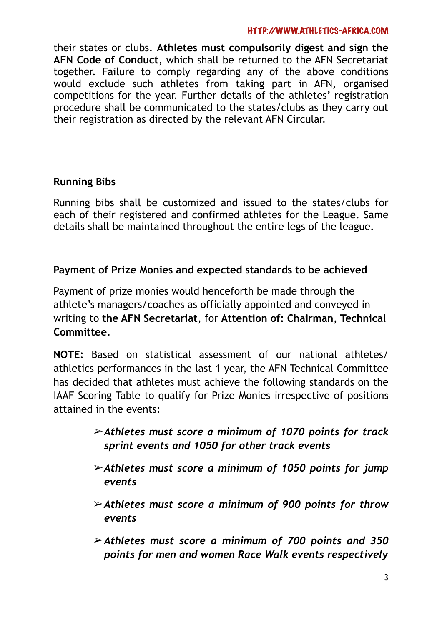#### [HTTP://WWW.ATHLETICS-AFRICA.COM](http://WWW.ATHLETICS-AFRICA.COM)

their states or clubs. **Athletes must compulsorily digest and sign the AFN Code of Conduct**, which shall be returned to the AFN Secretariat together. Failure to comply regarding any of the above conditions would exclude such athletes from taking part in AFN, organised competitions for the year. Further details of the athletes' registration procedure shall be communicated to the states/clubs as they carry out their registration as directed by the relevant AFN Circular.

#### **Running Bibs**

Running bibs shall be customized and issued to the states/clubs for each of their registered and confirmed athletes for the League. Same details shall be maintained throughout the entire legs of the league.

#### **Payment of Prize Monies and expected standards to be achieved**

Payment of prize monies would henceforth be made through the athlete's managers/coaches as officially appointed and conveyed in writing to **the AFN Secretariat**, for **Attention of: Chairman, Technical Committee.** 

**NOTE:** Based on statistical assessment of our national athletes/ athletics performances in the last 1 year, the AFN Technical Committee has decided that athletes must achieve the following standards on the IAAF Scoring Table to qualify for Prize Monies irrespective of positions attained in the events:

- !*Athletes must score a minimum of 1070 points for track sprint events and 1050 for other track events*
- !*Athletes must score a minimum of 1050 points for jump events*
- !*Athletes must score a minimum of 900 points for throw events*
- !*Athletes must score a minimum of 700 points and 350 points for men and women Race Walk events respectively*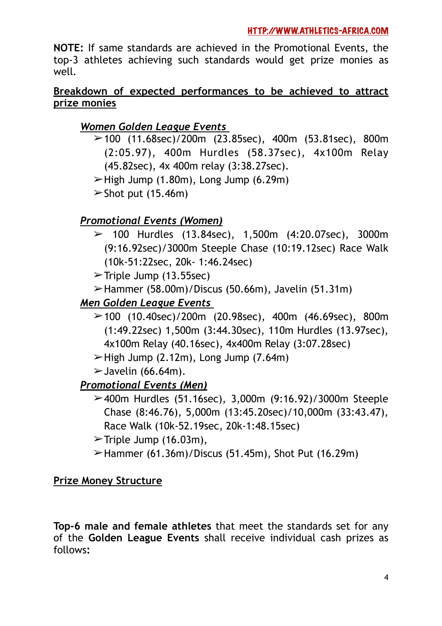**NOTE:** If same standards are achieved in the Promotional Events, the top-3 athletes achieving such standards would get prize monies as well*.*

## **Breakdown of expected performances to be achieved to attract prize monies**

# *Women Golden League Events*

- $\geq$  100 (11.68sec)/200m (23.85sec), 400m (53.81sec), 800m (2:05.97), 400m Hurdles (58.37sec), 4x100m Relay (45.82sec), 4x 400m relay (3:38.27sec).
- $\geq$ High Jump (1.80m), Long Jump (6.29m)

 $\triangleright$  Shot put (15.46m)

# *Promotional Events (Women)*

- $\geq$  100 Hurdles (13.84sec), 1,500m (4:20.07sec), 3000m (9:16.92sec)/3000m Steeple Chase (10:19.12sec) Race Walk (10k-51:22sec, 20k- 1:46.24sec)
- $\triangleright$ Triple Jump (13.55sec)
- $\blacktriangleright$ Hammer (58.00m)/Discus (50.66m), Javelin (51.31m)

# *Men Golden League Events*

- $\geq$  100 (10.40sec)/200m (20.98sec), 400m (46.69sec), 800m (1:49.22sec) 1,500m (3:44.30sec), 110m Hurdles (13.97sec), 4x100m Relay (40.16sec), 4x400m Relay (3:07.28sec)
- $\blacktriangleright$  High Jump (2.12m), Long Jump (7.64m)
- $\blacktriangleright$  Javelin (66.64m).

# *Promotional Events (Men)*

- $\geq$  400m Hurdles (51.16sec), 3,000m (9:16.92)/3000m Steeple Chase (8:46.76), 5,000m (13:45.20sec)/10,000m (33:43.47), Race Walk (10k-52.19sec, 20k-1:48.15sec)
- $\triangleright$  Triple Jump (16.03m),
- $\blacktriangleright$ Hammer (61.36m)/Discus (51.45m), Shot Put (16.29m)

## **Prize Money Structure**

**Top-6 male and female athletes** that meet the standards set for any of the **Golden League Events** shall receive individual cash prizes as follows**:**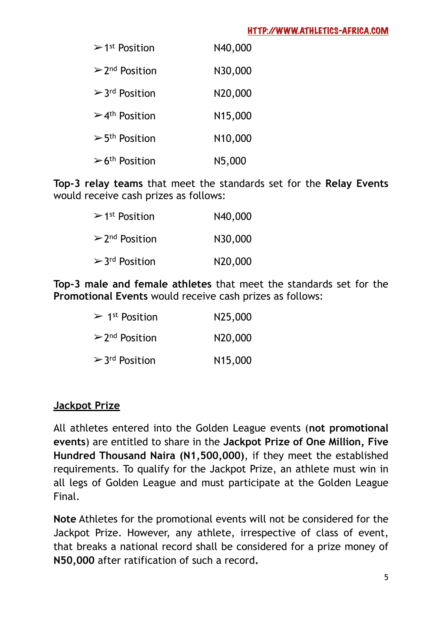#### [HTTP://WWW.ATHLETICS-AFRICA.COM](http://WWW.ATHLETICS-AFRICA.COM)

| $>1$ <sup>st</sup> Position     | N40,000              |
|---------------------------------|----------------------|
| $> 2nd$ Position                | N30,000              |
| $> 3rd$ Position                | N20,000              |
| $>4th$ Position                 | N <sub>15</sub> ,000 |
| $>$ 5 <sup>th</sup> Position    | N10,000              |
| $\geq 6$ <sup>th</sup> Position | N5,000               |

**Top-3 relay teams** that meet the standards set for the **Relay Events** would receive cash prizes as follows:

| $>1$ <sup>st</sup> Position | N40,000 |
|-----------------------------|---------|
| $\geq 2^{nd}$ Position      | N30,000 |
| $> 3rd$ Position            | N20,000 |

**Top-3 male and female athletes** that meet the standards set for the **Promotional Events** would receive cash prizes as follows:

| > 1 <sup>st</sup> Position | N25,000              |
|----------------------------|----------------------|
| $\geq 2^{nd}$ Position     | N20,000              |
| $> 3rd$ Position           | N <sub>15</sub> ,000 |

#### **Jackpot Prize**

All athletes entered into the Golden League events (**not promotional events**) are entitled to share in the **Jackpot Prize of One Million, Five Hundred Thousand Naira (N1,500,000)**, if they meet the established requirements. To qualify for the Jackpot Prize, an athlete must win in all legs of Golden League and must participate at the Golden League Final.

**Note** Athletes for the promotional events will not be considered for the Jackpot Prize. However, any athlete, irrespective of class of event, that breaks a national record shall be considered for a prize money of **N50,000** after ratification of such a record**.**